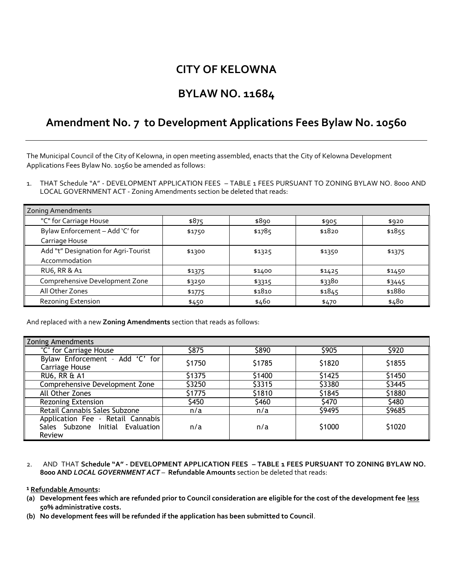## **CITY OF KELOWNA**

### **BYLAW NO. 11684**

# **Amendment No. 7 to Development Applications Fees Bylaw No. 10560**

The Municipal Council of the City of Kelowna, in open meeting assembled, enacts that the City of Kelowna Development Applications Fees Bylaw No. 10560 be amended as follows:

1. THAT Schedule "A" - DEVELOPMENT APPLICATION FEES – TABLE 1 FEES PURSUANT TO ZONING BYLAW NO. 8000 AND LOCAL GOVERNMENT ACT - Zoning Amendments section be deleted that reads:

| <b>Zoning Amendments</b>             |        |        |        |        |  |
|--------------------------------------|--------|--------|--------|--------|--|
| "C" for Carriage House               | \$875  | \$890  | \$905  | \$920  |  |
| Bylaw Enforcement - Add 'C' for      | \$1750 | \$1785 | \$1820 | \$1855 |  |
| Carriage House                       |        |        |        |        |  |
| Add "t" Designation for Agri-Tourist | \$1300 | \$1325 | \$1350 | \$1375 |  |
| Accommodation                        |        |        |        |        |  |
| RU6, RR & A1                         | \$1375 | \$1400 | \$1425 | \$1450 |  |
| Comprehensive Development Zone       | \$3250 | \$3315 | \$3380 | \$3445 |  |
| All Other Zones                      | \$1775 | \$1810 | \$1845 | \$1880 |  |
| <b>Rezoning Extension</b>            | \$450  | \$460  | \$470  | \$480  |  |

And replaced with a new **Zoning Amendments** section that reads as follows:

| <b>Zoning Amendments</b>                                                        |        |        |        |        |
|---------------------------------------------------------------------------------|--------|--------|--------|--------|
| "C" for Carriage House                                                          | \$875  | \$890  | \$905  | \$920  |
| Bylaw Enforcement - Add 'C' for<br><b>Carriage House</b>                        | \$1750 | \$1785 | \$1820 | \$1855 |
| <b>RU6, RR &amp; A1</b>                                                         | \$1375 | \$1400 | \$1425 | \$1450 |
| Comprehensive Development Zone                                                  | \$3250 | \$3315 | \$3380 | \$3445 |
| All Other Zones                                                                 | \$1775 | \$1810 | \$1845 | \$1880 |
| Rezoning Extension                                                              | \$450  | \$460  | \$470  | \$480  |
| Retail Cannabis Sales Subzone                                                   | n/a    | n/a    | \$9495 | \$9685 |
| Application Fee - Retail Cannabis<br>Sales Subzone Initial Evaluation<br>Review | n/a    | n/a    | \$1000 | \$1020 |

2. AND THAT **Schedule "A" - DEVELOPMENT APPLICATION FEES – TABLE 1 FEES PURSUANT TO ZONING BYLAW NO. 8000 AND** *LOCAL GOVERNMENT ACT* – **Refundable Amounts** section be deleted that reads:

### **¹ Refundable Amounts:**

- **(a) Development fees which are refunded prior to Council consideration are eligible for the cost of the development fee less 50% administrative costs.**
- **(b) No development fees will be refunded if the application has been submitted to Council**.